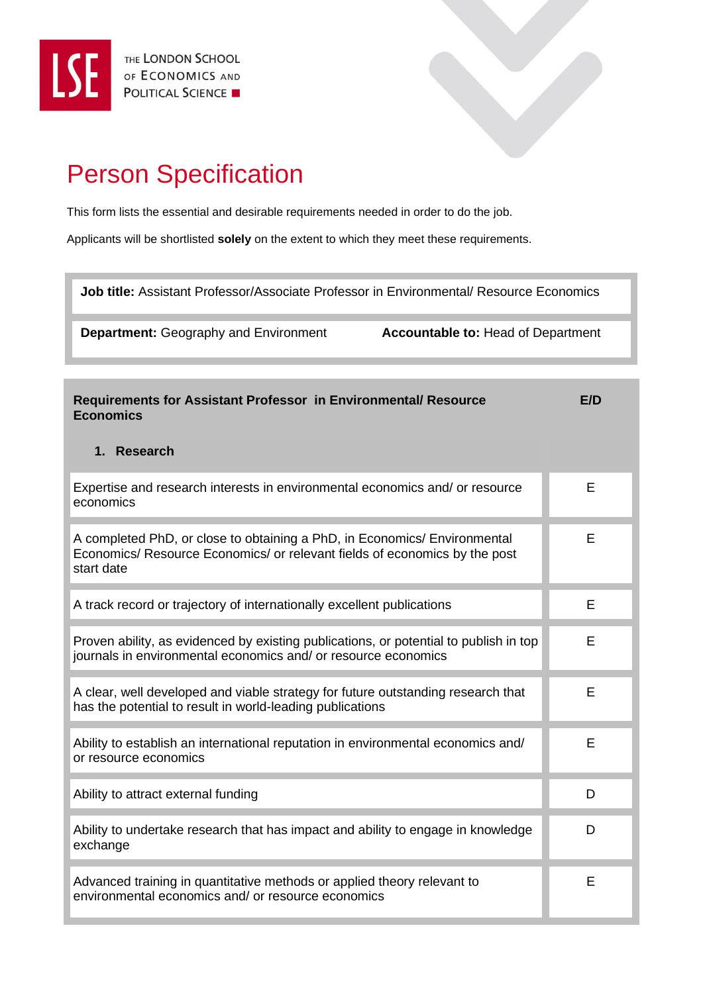

## Person Specification

This form lists the essential and desirable requirements needed in order to do the job.

Applicants will be shortlisted **solely** on the extent to which they meet these requirements.

**Job title:** Assistant Professor/Associate Professor in Environmental/ Resource Economics

**Department:** Geography and Environment **Accountable to:** Head of Department

| Requirements for Assistant Professor in Environmental/ Resource<br><b>Economics</b>                                                                                   | F/D |
|-----------------------------------------------------------------------------------------------------------------------------------------------------------------------|-----|
| 1. Research                                                                                                                                                           |     |
| Expertise and research interests in environmental economics and/ or resource<br>economics                                                                             | E   |
| A completed PhD, or close to obtaining a PhD, in Economics/ Environmental<br>Economics/ Resource Economics/ or relevant fields of economics by the post<br>start date | F   |
| A track record or trajectory of internationally excellent publications                                                                                                | E   |
| Proven ability, as evidenced by existing publications, or potential to publish in top<br>journals in environmental economics and/ or resource economics               | Е   |
| A clear, well developed and viable strategy for future outstanding research that<br>has the potential to result in world-leading publications                         | Е   |
| Ability to establish an international reputation in environmental economics and/<br>or resource economics                                                             | E   |
| Ability to attract external funding                                                                                                                                   | D   |
| Ability to undertake research that has impact and ability to engage in knowledge<br>exchange                                                                          | D   |
| Advanced training in quantitative methods or applied theory relevant to<br>environmental economics and/ or resource economics                                         | E   |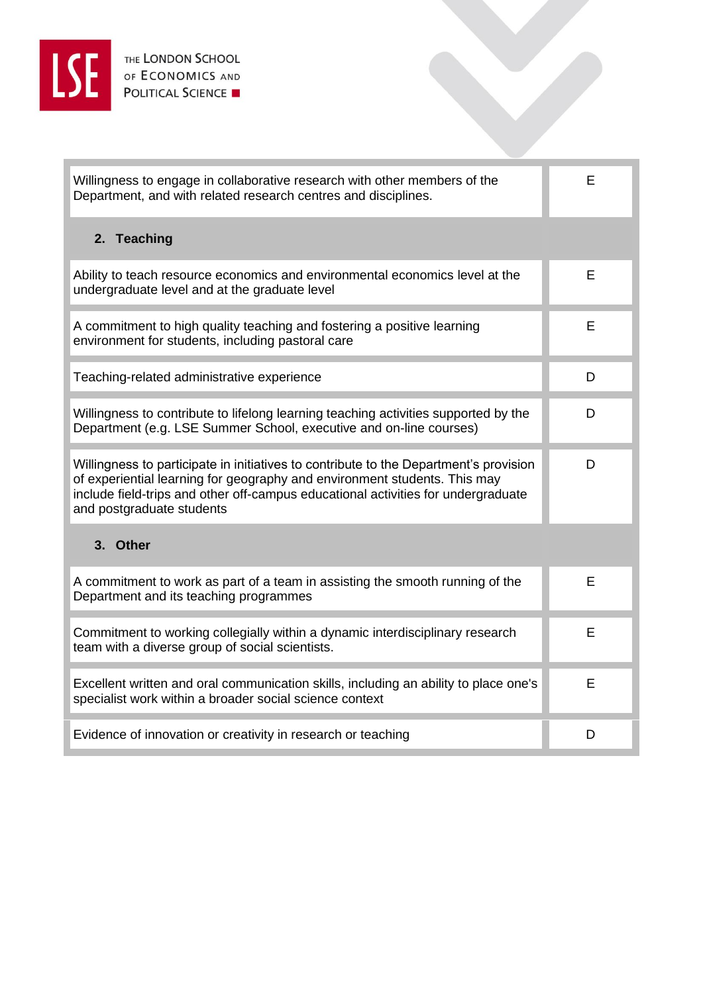

| Willingness to engage in collaborative research with other members of the<br>Department, and with related research centres and disciplines.                                                                                                                                          | E |
|--------------------------------------------------------------------------------------------------------------------------------------------------------------------------------------------------------------------------------------------------------------------------------------|---|
| 2. Teaching                                                                                                                                                                                                                                                                          |   |
| Ability to teach resource economics and environmental economics level at the<br>undergraduate level and at the graduate level                                                                                                                                                        | E |
| A commitment to high quality teaching and fostering a positive learning<br>environment for students, including pastoral care                                                                                                                                                         | E |
| Teaching-related administrative experience                                                                                                                                                                                                                                           | D |
| Willingness to contribute to lifelong learning teaching activities supported by the<br>Department (e.g. LSE Summer School, executive and on-line courses)                                                                                                                            | D |
| Willingness to participate in initiatives to contribute to the Department's provision<br>of experiential learning for geography and environment students. This may<br>include field-trips and other off-campus educational activities for undergraduate<br>and postgraduate students | D |
| 3. Other                                                                                                                                                                                                                                                                             |   |
| A commitment to work as part of a team in assisting the smooth running of the<br>Department and its teaching programmes                                                                                                                                                              | E |
| Commitment to working collegially within a dynamic interdisciplinary research<br>team with a diverse group of social scientists.                                                                                                                                                     | E |
| Excellent written and oral communication skills, including an ability to place one's<br>specialist work within a broader social science context                                                                                                                                      | E |
| Evidence of innovation or creativity in research or teaching                                                                                                                                                                                                                         | D |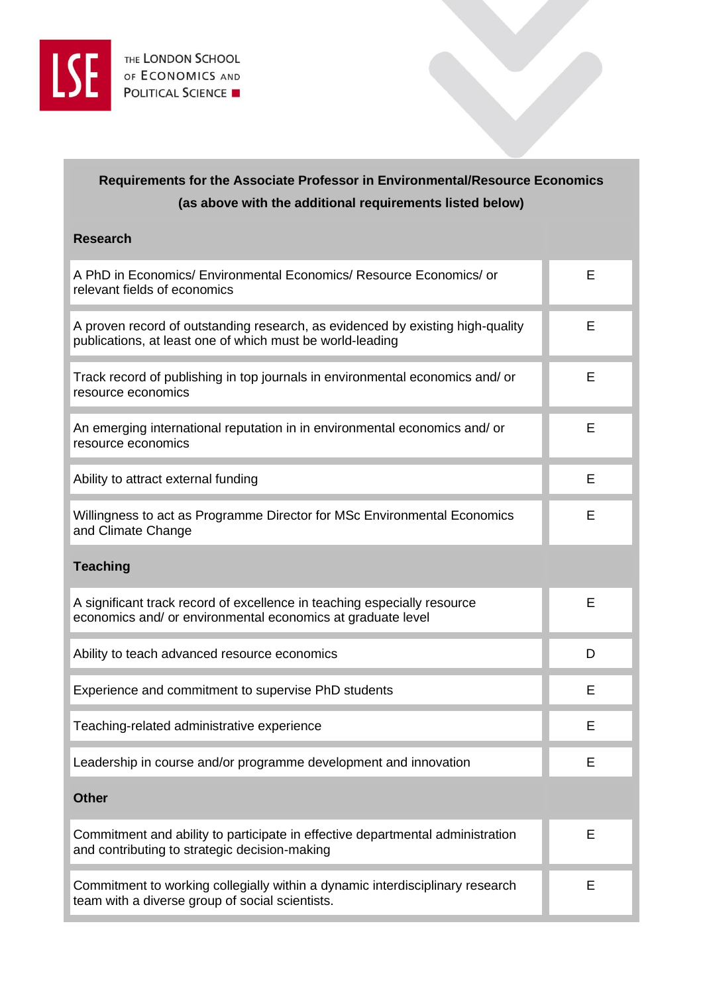

## **Requirements for the Associate Professor in Environmental/Resource Economics (as above with the additional requirements listed below)**

| <b>Research</b>                                                                                                                             |   |
|---------------------------------------------------------------------------------------------------------------------------------------------|---|
| A PhD in Economics/ Environmental Economics/ Resource Economics/ or<br>relevant fields of economics                                         | E |
| A proven record of outstanding research, as evidenced by existing high-quality<br>publications, at least one of which must be world-leading | Е |
| Track record of publishing in top journals in environmental economics and/ or<br>resource economics                                         | E |
| An emerging international reputation in in environmental economics and/ or<br>resource economics                                            | Е |
| Ability to attract external funding                                                                                                         | E |
| Willingness to act as Programme Director for MSc Environmental Economics<br>and Climate Change                                              | Е |
| <b>Teaching</b>                                                                                                                             |   |
| A significant track record of excellence in teaching especially resource<br>economics and/ or environmental economics at graduate level     | E |
| Ability to teach advanced resource economics                                                                                                | D |
| Experience and commitment to supervise PhD students                                                                                         | E |
| Teaching-related administrative experience                                                                                                  | Е |
| Leadership in course and/or programme development and innovation                                                                            | Ε |
| <b>Other</b>                                                                                                                                |   |
| Commitment and ability to participate in effective departmental administration<br>and contributing to strategic decision-making             | E |
| Commitment to working collegially within a dynamic interdisciplinary research<br>team with a diverse group of social scientists.            | Е |